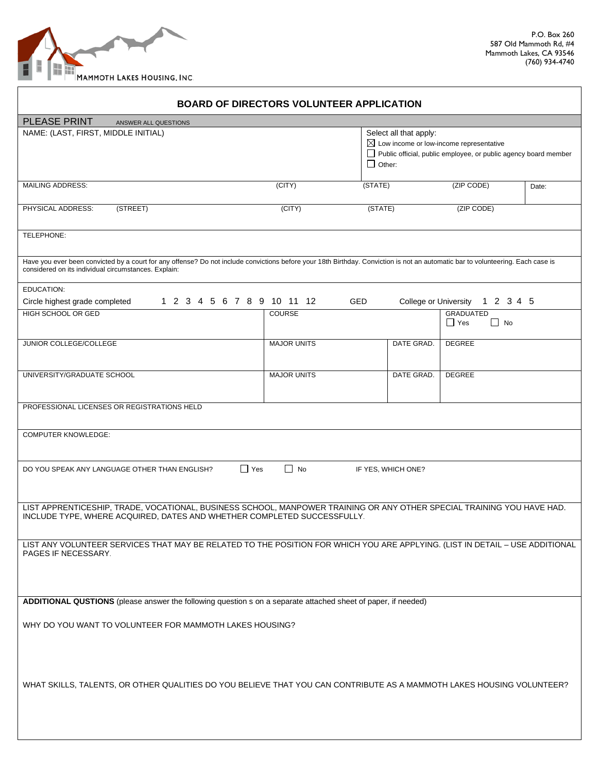

|                                                                                                                                                                                                                                         | <b>BOARD OF DIRECTORS VOLUNTEER APPLICATION</b> |                                                                                                |                                                                 |       |
|-----------------------------------------------------------------------------------------------------------------------------------------------------------------------------------------------------------------------------------------|-------------------------------------------------|------------------------------------------------------------------------------------------------|-----------------------------------------------------------------|-------|
| <b>PLEASE PRINT</b><br>ANSWER ALL QUESTIONS                                                                                                                                                                                             |                                                 |                                                                                                |                                                                 |       |
| NAME: (LAST, FIRST, MIDDLE INITIAL)                                                                                                                                                                                                     |                                                 | Select all that apply:<br>$\boxtimes$ Low income or low-income representative<br>$\Box$ Other: | Public official, public employee, or public agency board member |       |
| <b>MAILING ADDRESS:</b>                                                                                                                                                                                                                 | $\overline{(CITY)}$                             | (STATE)                                                                                        | (ZIP CODE)                                                      | Date: |
| PHYSICAL ADDRESS:<br>(STREET)                                                                                                                                                                                                           | (CITY)                                          | (STATE)                                                                                        | (ZIP CODE)                                                      |       |
| TELEPHONE:                                                                                                                                                                                                                              |                                                 |                                                                                                |                                                                 |       |
| Have you ever been convicted by a court for any offense? Do not include convictions before your 18th Birthday. Conviction is not an automatic bar to volunteering. Each case is<br>considered on its individual circumstances. Explain: |                                                 |                                                                                                |                                                                 |       |
| EDUCATION:                                                                                                                                                                                                                              |                                                 |                                                                                                |                                                                 |       |
| 1 2 3 4 5 6 7 8 9 10 11 12<br>Circle highest grade completed                                                                                                                                                                            | <b>GED</b>                                      | <b>College or University</b>                                                                   | 1 2 3 4 5                                                       |       |
| HIGH SCHOOL OR GED                                                                                                                                                                                                                      | <b>COURSE</b>                                   |                                                                                                | <b>GRADUATED</b><br>Yes<br>$\blacksquare$ No                    |       |
| JUNIOR COLLEGE/COLLEGE                                                                                                                                                                                                                  | <b>MAJOR UNITS</b>                              | DATE GRAD.                                                                                     | <b>DEGREE</b>                                                   |       |
|                                                                                                                                                                                                                                         |                                                 |                                                                                                |                                                                 |       |
| UNIVERSITY/GRADUATE SCHOOL                                                                                                                                                                                                              | <b>MAJOR UNITS</b>                              | DATE GRAD.                                                                                     | DEGREE                                                          |       |
| PROFESSIONAL LICENSES OR REGISTRATIONS HELD                                                                                                                                                                                             |                                                 |                                                                                                |                                                                 |       |
| <b>COMPUTER KNOWLEDGE:</b>                                                                                                                                                                                                              |                                                 |                                                                                                |                                                                 |       |
| $\Box$ Yes<br>$\Box$ No<br>DO YOU SPEAK ANY LANGUAGE OTHER THAN ENGLISH?<br>IF YES, WHICH ONE?                                                                                                                                          |                                                 |                                                                                                |                                                                 |       |
| LIST APPRENTICESHIP, TRADE, VOCATIONAL, BUSINESS SCHOOL, MANPOWER TRAINING OR ANY OTHER SPECIAL TRAINING YOU HAVE HAD.<br>INCLUDE TYPE, WHERE ACQUIRED, DATES AND WHETHER COMPLETED SUCCESSFULLY.                                       |                                                 |                                                                                                |                                                                 |       |
| LIST ANY VOLUNTEER SERVICES THAT MAY BE RELATED TO THE POSITION FOR WHICH YOU ARE APPLYING. (LIST IN DETAIL - USE ADDITIONAL<br>PAGES IF NECESSARY.                                                                                     |                                                 |                                                                                                |                                                                 |       |
|                                                                                                                                                                                                                                         |                                                 |                                                                                                |                                                                 |       |
| ADDITIONAL QUSTIONS (please answer the following question s on a separate attached sheet of paper, if needed)                                                                                                                           |                                                 |                                                                                                |                                                                 |       |
| WHY DO YOU WANT TO VOLUNTEER FOR MAMMOTH LAKES HOUSING?                                                                                                                                                                                 |                                                 |                                                                                                |                                                                 |       |
| WHAT SKILLS, TALENTS, OR OTHER QUALITIES DO YOU BELIEVE THAT YOU CAN CONTRIBUTE AS A MAMMOTH LAKES HOUSING VOLUNTEER?                                                                                                                   |                                                 |                                                                                                |                                                                 |       |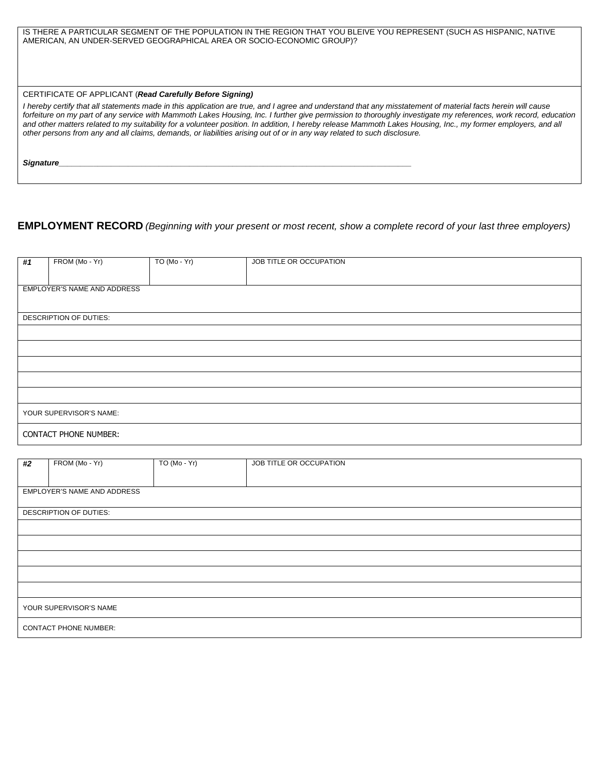IS THERE A PARTICULAR SEGMENT OF THE POPULATION IN THE REGION THAT YOU BLEIVE YOU REPRESENT (SUCH AS HISPANIC, NATIVE AMERICAN, AN UNDER-SERVED GEOGRAPHICAL AREA OR SOCIO-ECONOMIC GROUP)?

## CERTIFICATE OF APPLICANT (*Read Carefully Before Signing)*

*I* hereby certify that all statements made in this application are true, and I agree and understand that any misstatement of material facts herein will cause *forfeiture on my part of any service with Mammoth Lakes Housing, Inc. I further give permission to thoroughly investigate my references, work record, education and other matters related to my suitability for a volunteer position. In addition, I hereby release Mammoth Lakes Housing, Inc., my former employers, and all other persons from any and all claims, demands, or liabilities arising out of or in any way related to such disclosure.* 

*Signature\_\_\_\_\_\_\_\_\_\_\_\_\_\_\_\_\_\_\_\_\_\_\_\_\_\_\_\_\_\_\_\_\_\_\_\_\_\_\_\_\_\_\_\_\_\_\_\_\_\_\_\_\_\_\_\_\_\_\_\_\_\_\_\_\_\_\_\_\_\_\_\_\_\_\_\_\_\_\_\_\_* 

## **EMPLOYMENT RECORD** *(Beginning with your present or most recent, show a complete record of your last three employers)*

| #1                           | FROM (Mo - Yr)              | TO (Mo - Yr) | JOB TITLE OR OCCUPATION |
|------------------------------|-----------------------------|--------------|-------------------------|
|                              |                             |              |                         |
|                              |                             |              |                         |
|                              | EMPLOYER'S NAME AND ADDRESS |              |                         |
|                              |                             |              |                         |
|                              |                             |              |                         |
|                              |                             |              |                         |
|                              | DESCRIPTION OF DUTIES:      |              |                         |
|                              |                             |              |                         |
|                              |                             |              |                         |
|                              |                             |              |                         |
|                              |                             |              |                         |
|                              |                             |              |                         |
|                              |                             |              |                         |
|                              |                             |              |                         |
|                              |                             |              |                         |
|                              |                             |              |                         |
|                              |                             |              |                         |
|                              |                             |              |                         |
|                              |                             |              |                         |
| YOUR SUPERVISOR'S NAME:      |                             |              |                         |
|                              |                             |              |                         |
|                              |                             |              |                         |
| <b>CONTACT PHONE NUMBER:</b> |                             |              |                         |
|                              |                             |              |                         |

|                              |                             |               | JOB TITLE OR OCCUPATION |
|------------------------------|-----------------------------|---------------|-------------------------|
| #2                           | FROM (Mo - Yr)              | $TO(Mo - Yr)$ |                         |
|                              |                             |               |                         |
|                              |                             |               |                         |
|                              |                             |               |                         |
|                              | EMPLOYER'S NAME AND ADDRESS |               |                         |
|                              |                             |               |                         |
|                              |                             |               |                         |
|                              | DESCRIPTION OF DUTIES:      |               |                         |
|                              |                             |               |                         |
|                              |                             |               |                         |
|                              |                             |               |                         |
|                              |                             |               |                         |
|                              |                             |               |                         |
|                              |                             |               |                         |
|                              |                             |               |                         |
|                              |                             |               |                         |
|                              |                             |               |                         |
|                              |                             |               |                         |
|                              |                             |               |                         |
|                              |                             |               |                         |
| YOUR SUPERVISOR'S NAME       |                             |               |                         |
|                              |                             |               |                         |
|                              |                             |               |                         |
| <b>CONTACT PHONE NUMBER:</b> |                             |               |                         |
|                              |                             |               |                         |